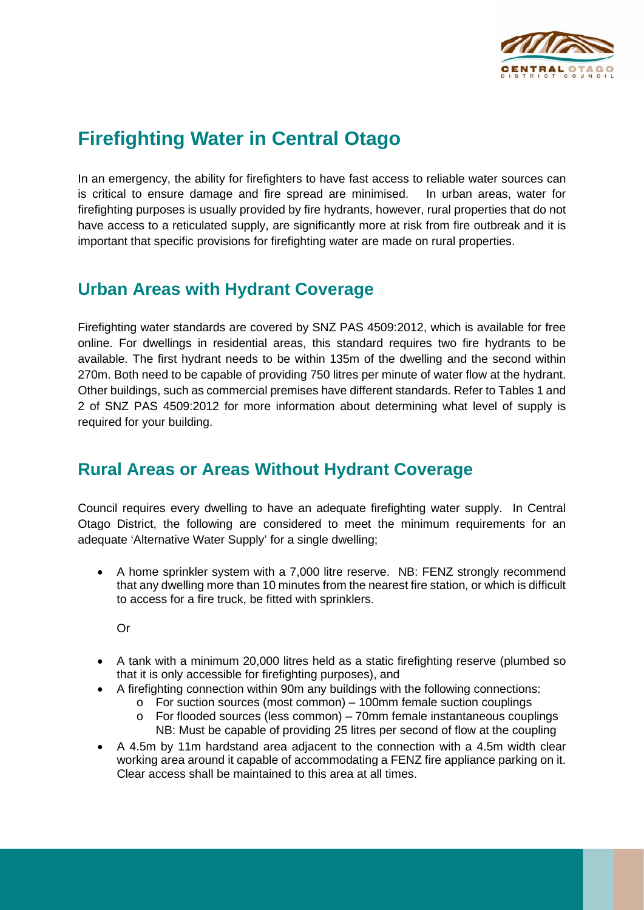

## **Firefighting Water in Central Otago**

In an emergency, the ability for firefighters to have fast access to reliable water sources can is critical to ensure damage and fire spread are minimised. In urban areas, water for firefighting purposes is usually provided by fire hydrants, however, rural properties that do not have access to a reticulated supply, are significantly more at risk from fire outbreak and it is important that specific provisions for firefighting water are made on rural properties.

## **Urban Areas with Hydrant Coverage**

Firefighting water standards are covered by SNZ PAS 4509:2012, which is available for free online. For dwellings in residential areas, this standard requires two fire hydrants to be available. The first hydrant needs to be within 135m of the dwelling and the second within 270m. Both need to be capable of providing 750 litres per minute of water flow at the hydrant. Other buildings, such as commercial premises have different standards. Refer to Tables 1 and 2 of SNZ PAS 4509:2012 for more information about determining what level of supply is required for your building.

## **Rural Areas or Areas Without Hydrant Coverage**

Council requires every dwelling to have an adequate firefighting water supply. In Central Otago District, the following are considered to meet the minimum requirements for an adequate 'Alternative Water Supply' for a single dwelling;

• A home sprinkler system with a 7,000 litre reserve. NB: FENZ strongly recommend that any dwelling more than 10 minutes from the nearest fire station, or which is difficult to access for a fire truck, be fitted with sprinklers.

Or

- A tank with a minimum 20,000 litres held as a static firefighting reserve (plumbed so that it is only accessible for firefighting purposes), and
- A firefighting connection within 90m any buildings with the following connections:
	- o For suction sources (most common) 100mm female suction couplings
	- o For flooded sources (less common) 70mm female instantaneous couplings NB: Must be capable of providing 25 litres per second of flow at the coupling
- A 4.5m by 11m hardstand area adjacent to the connection with a 4.5m width clear working area around it capable of accommodating a FENZ fire appliance parking on it. Clear access shall be maintained to this area at all times.